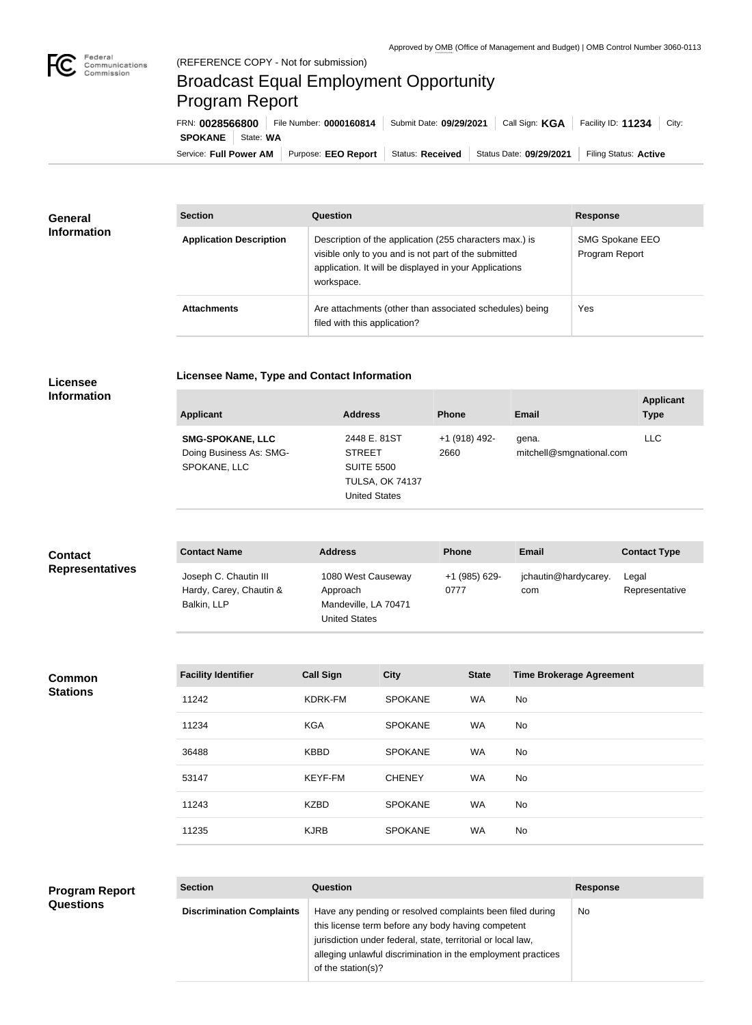

**COL** 

## Broadcast Equal Employment Opportunity Program Report

**Licensee Name, Type and Contact Information**

Service: Full Power AM | Purpose: EEO Report | Status: Received | Status Date: 09/29/2021 | Filing Status: Active **SPOKANE** | State: WA FRN: **0028566800** File Number: **0000160814** Submit Date: **09/29/2021** Call Sign: **KGA** Facility ID: **11234** City:

| <b>General</b><br><b>Information</b> | <b>Section</b>                 | <b>Question</b>                                                                                                                                                                         | <b>Response</b>                   |
|--------------------------------------|--------------------------------|-----------------------------------------------------------------------------------------------------------------------------------------------------------------------------------------|-----------------------------------|
|                                      | <b>Application Description</b> | Description of the application (255 characters max.) is<br>visible only to you and is not part of the submitted<br>application. It will be displayed in your Applications<br>workspace. | SMG Spokane EEO<br>Program Report |
|                                      | <b>Attachments</b>             | Are attachments (other than associated schedules) being<br>filed with this application?                                                                                                 | Yes                               |

## **Licensee Information**

| <b>Applicant</b>                                                   | <b>Address</b>                                                                                       | <b>Phone</b>          | <b>Email</b>                      | <b>Applicant</b><br><b>Type</b> |
|--------------------------------------------------------------------|------------------------------------------------------------------------------------------------------|-----------------------|-----------------------------------|---------------------------------|
| <b>SMG-SPOKANE, LLC</b><br>Doing Business As: SMG-<br>SPOKANE, LLC | 2448 E. 81ST<br><b>STREET</b><br><b>SUITE 5500</b><br><b>TULSA, OK 74137</b><br><b>United States</b> | +1 (918) 492-<br>2660 | gena.<br>mitchell@smgnational.com | <b>LLC</b>                      |

| <b>Contact</b><br><b>Representatives</b> | <b>Contact Name</b>                                             | <b>Address</b>                                                                 | <b>Phone</b>          | Email                       | <b>Contact Type</b>     |
|------------------------------------------|-----------------------------------------------------------------|--------------------------------------------------------------------------------|-----------------------|-----------------------------|-------------------------|
|                                          | Joseph C. Chautin III<br>Hardy, Carey, Chautin &<br>Balkin, LLP | 1080 West Causeway<br>Approach<br>Mandeville, LA 70471<br><b>United States</b> | +1 (985) 629-<br>0777 | jchautin@hardycarey.<br>com | Legal<br>Representative |

**Common Stations**

**Questions**

| <b>Facility Identifier</b> | <b>Call Sign</b> | <b>City</b>    | <b>State</b> | <b>Time Brokerage Agreement</b> |
|----------------------------|------------------|----------------|--------------|---------------------------------|
| 11242                      | KDRK-FM          | <b>SPOKANE</b> | <b>WA</b>    | No                              |
| 11234                      | <b>KGA</b>       | <b>SPOKANE</b> | <b>WA</b>    | No                              |
| 36488                      | <b>KBBD</b>      | <b>SPOKANE</b> | <b>WA</b>    | No                              |
| 53147                      | KEYF-FM          | <b>CHENEY</b>  | <b>WA</b>    | No                              |
| 11243                      | <b>KZBD</b>      | <b>SPOKANE</b> | <b>WA</b>    | No                              |
| 11235                      | <b>KJRB</b>      | <b>SPOKANE</b> | <b>WA</b>    | No.                             |

## **Section Question Response Discrimination Complaints** | Have any pending or resolved complaints been filed during this license term before any body having competent jurisdiction under federal, state, territorial or local law, alleging unlawful discrimination in the employment practices of the station(s)? No **Program Report**